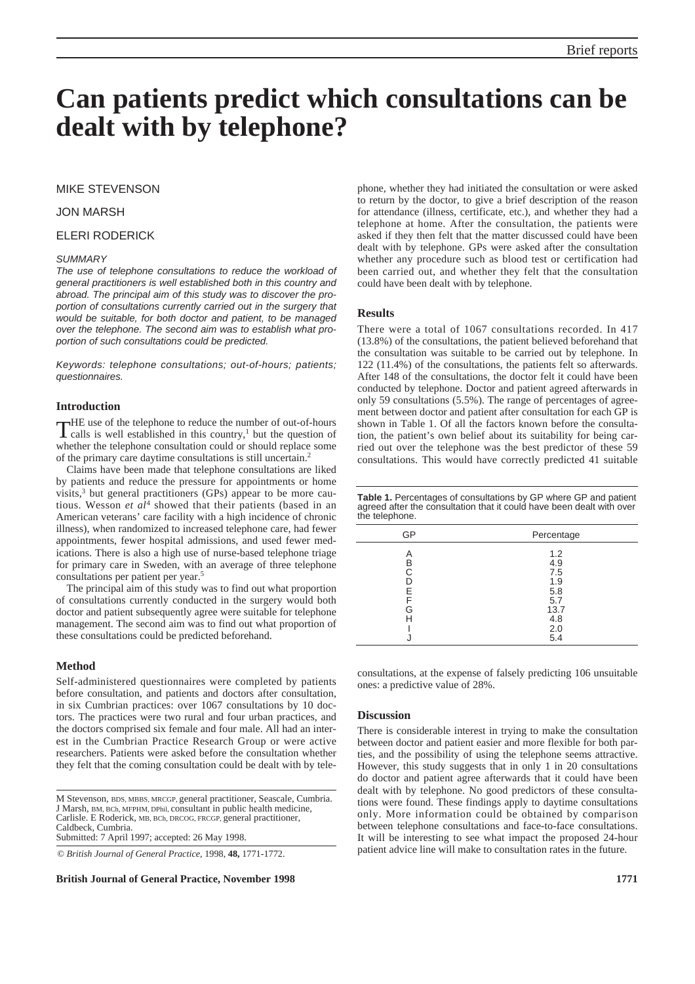# **Can patients predict which consultations can be dealt with by telephone?**

## MIKE STEVENSON

## JON MARSH

# ELERI RODERICK

#### *SUMMARY*

*The use of telephone consultations to reduce the workload of general practitioners is well established both in this country and abroad. The principal aim of this study was to discover the proportion of consultations currently carried out in the surgery that would be suitable, for both doctor and patient, to be managed over the telephone. The second aim was to establish what proportion of such consultations could be predicted.*

*Keywords: telephone consultations; out-of-hours; patients; questionnaires.*

## **Introduction**

THE use of the telephone to reduce the number of out-of-hours<br>calls is well established in this country,<sup>1</sup> but the question of whether the telephone consultation could or should replace some of the primary care daytime consultations is still uncertain.2

Claims have been made that telephone consultations are liked by patients and reduce the pressure for appointments or home visits, $3$  but general practitioners (GPs) appear to be more cautious. Wesson *et al*<sup>4</sup> showed that their patients (based in an American veterans' care facility with a high incidence of chronic illness), when randomized to increased telephone care, had fewer appointments, fewer hospital admissions, and used fewer medications. There is also a high use of nurse-based telephone triage for primary care in Sweden, with an average of three telephone consultations per patient per year.5

The principal aim of this study was to find out what proportion of consultations currently conducted in the surgery would both doctor and patient subsequently agree were suitable for telephone management. The second aim was to find out what proportion of these consultations could be predicted beforehand.

#### **Method**

Self-administered questionnaires were completed by patients before consultation, and patients and doctors after consultation, in six Cumbrian practices: over 1067 consultations by 10 doctors. The practices were two rural and four urban practices, and the doctors comprised six female and four male. All had an interest in the Cumbrian Practice Research Group or were active researchers. Patients were asked before the consultation whether they felt that the coming consultation could be dealt with by tele-

M Stevenson, BDS, MBBS, MRCGP, general practitioner, Seascale, Cumbria. J Marsh, BM, BCh, MFPHM, DPhil, consultant in public health medicine, Carlisle. E Roderick, MB, BCh, DRCOG, FRCGP, general practitioner, Caldbeck, Cumbria. Submitted: 7 April 1997; accepted: 26 May 1998.

© *British Journal of General Practice,* 1998, **48,** 1771-1772.

**British Journal of General Practice, November 1998 1771**

phone, whether they had initiated the consultation or were asked to return by the doctor, to give a brief description of the reason for attendance (illness, certificate, etc.), and whether they had a telephone at home. After the consultation, the patients were asked if they then felt that the matter discussed could have been dealt with by telephone. GPs were asked after the consultation whether any procedure such as blood test or certification had been carried out, and whether they felt that the consultation could have been dealt with by telephone.

#### **Results**

There were a total of 1067 consultations recorded. In 417 (13.8%) of the consultations, the patient believed beforehand that the consultation was suitable to be carried out by telephone. In 122 (11.4%) of the consultations, the patients felt so afterwards. After 148 of the consultations, the doctor felt it could have been conducted by telephone. Doctor and patient agreed afterwards in only 59 consultations (5.5%). The range of percentages of agreement between doctor and patient after consultation for each GP is shown in Table 1. Of all the factors known before the consultation, the patient's own belief about its suitability for being carried out over the telephone was the best predictor of these 59 consultations. This would have correctly predicted 41 suitable

| <b>Table 1.</b> Percentages of consultations by GP where GP and patient |
|-------------------------------------------------------------------------|
| agreed after the consultation that it could have been dealt with over   |
| the telephone.                                                          |

| GP | Percentage |
|----|------------|
| А  | 1.2        |
| B  | 4.9        |
| C  | 7.5        |
|    | 1.9        |
| F  | 5.8        |
| F  | 5.7        |
| G  | 13.7       |
|    | 4.8        |
|    | 2.0        |
|    | 5.4        |

consultations, at the expense of falsely predicting 106 unsuitable ones: a predictive value of 28%.

## **Discussion**

There is considerable interest in trying to make the consultation between doctor and patient easier and more flexible for both parties, and the possibility of using the telephone seems attractive. However, this study suggests that in only 1 in 20 consultations do doctor and patient agree afterwards that it could have been dealt with by telephone. No good predictors of these consultations were found. These findings apply to daytime consultations only. More information could be obtained by comparison between telephone consultations and face-to-face consultations. It will be interesting to see what impact the proposed 24-hour patient advice line will make to consultation rates in the future.